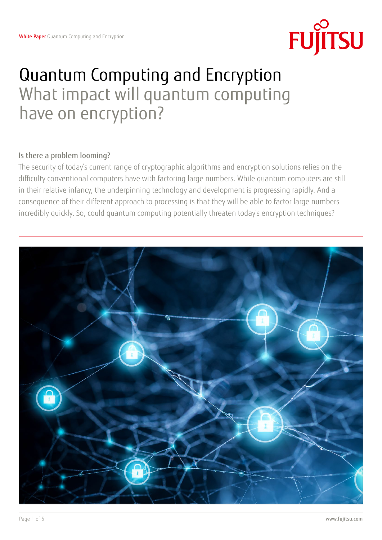

# Quantum Computing and Encryption What impact will quantum computing have on encryption?

## Is there a problem looming?

The security of today's current range of cryptographic algorithms and encryption solutions relies on the difficulty conventional computers have with factoring large numbers. While quantum computers are still in their relative infancy, the underpinning technology and development is progressing rapidly. And a consequence of their different approach to processing is that they will be able to factor large numbers incredibly quickly. So, could quantum computing potentially threaten today's encryption techniques?

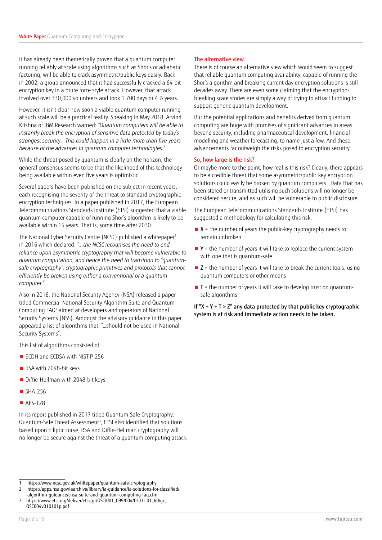It has already been theoretically proven that a quantum computer running reliably at scale using algorithms such as Shor's or adiabatic factoring, will be able to crack asymmetric/public keys easily. Back in 2002, a group announced that it had successfully cracked a 64-bit encryption key in a brute force style attack. However, that attack involved over 330,000 volunteers and took 1,700 days or 4 ½ years.

However, it isn't clear how soon a viable quantum computer running at such scale will be a practical reality. Speaking in May 2018, Arvind Krishna of IBM Research warned: *"Quantum computers will be able to instantly break the encryption of sensitive data protected by today's strongest security… This could happen in a little more than five years because of the advances in quantum computer technologies."* 

While the threat posed by quantum is clearly on the horizon, the general consensus seems to be that the likelihood of this technology being available within even five years is optimistic.

Several papers have been published on the subject in recent years, each recognising the severity of the threat to standard cryptographic encryption techniques. In a paper published in 2017, the European Telecommunications Standards Institute (ETSI) suggested that a viable quantum computer capable of running Shor's algorithm is likely to be available within 15 years. That is, some time after 2030.

The National Cyber Security Centre (NCSC) published a whitepaper<sup>1</sup> in 2016 which declared: *"...the NCSC recognises the need to end reliance upon asymmetric cryptography that will become vulnerable to quantum computation, and hence the need to transition to "quantumsafe cryptography": cryptographic primitives and protocols that cannot efficiently be broken using either a conventional or a quantum computer."*

Also in 2016, the National Security Agency (NSA) released a paper titled Commercial National Security Algorithm Suite and Quantum Computing FAQ<sup>2</sup> aimed at developers and operators of National Security Systems (NSS). Amongst the advisory guidance in this paper appeared a list of algorithms that: "…should not be used in National Security Systems".

This list of algorithms consisted of:

- ECDH and ECDSA with NIST P-256
- RSA with 2048-bit keys
- Diffie-Hellman with 2048-bit keys
- SHA-256
- AES-128

In its report published in 2017 titled Quantum-Safe Cryptography: Quantum-Safe Threat Assessment<sup>3</sup>, ETSI also identified that solutions based upon Elliptic curve, RSA and Diffie-Hellman cryptography will no longer be secure against the threat of a quantum computing attack.

#### The alternative view

There is of course an alternative view which would seem to suggest that reliable quantum computing availability, capable of running the Shor's algorithm and breaking current day encryption solutions is still decades away. There are even some claiming that the encryptionbreaking scare stories are simply a way of trying to attract funding to support generic quantum development.

But the potential applications and benefits derived from quantum computing are huge with promises of significant advances in areas beyond security, including pharmaceutical development, financial modelling and weather forecasting, to name just a few. And these advancements far outweigh the risks posed to encryption security.

#### So, how large is the risk?

Or maybe more to the point, how real is this risk? Clearly, there appears to be a credible threat that some asymmetric/public key encryption solutions could easily be broken by quantum computers. Data that has been stored or transmitted utilising such solutions will no longer be considered secure, and as such will be vulnerable to public disclosure.

The European Telecommunications Standards Institute (ETSI) has suggested a methodology for calculating this risk:

- $\blacksquare$  **X** = the number of years the public-key cryptography needs to remain unbroken
- $\blacksquare$  **Y** = the number of years it will take to replace the current system with one that is quantum-safe
- $\blacksquare$  Z = the number of years it will take to break the current tools, using quantum computers or other means
- $\blacksquare$  T = the number of years it will take to develop trust on quantumsafe algorithms

If " $X + Y + T > Z$ " any data protected by that public key cryptographic system is at risk and immediate action needs to be taken.

<sup>1</sup> https://www.ncsc.gov.uk/whitepaper/quantum-safe-cryptography

<sup>2</sup> https://apps.nsa.gov/iaarchive/library/ia-guidance/ia-solutions-for-classified/

algorithm-guidance/cnsa-suite-and-quantum-computing-faq.cfm 3 https://www.etsi.org/deliver/etsi\_gr/QSC/001\_099/004/01.01.01\_60/gr\_ QSC004v010101p.pdf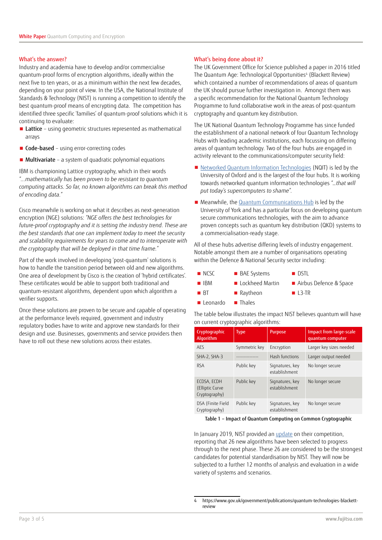#### What's the answer?

Industry and academia have to develop and/or commercialise quantum-proof forms of encryption algorithms, ideally within the next five to ten years, or as a minimum within the next few decades, depending on your point of view. In the USA, the National Institute of Standards & Technology (NIST) is running a competition to identify the best quantum-proof means of encrypting data. The competition has identified three specific 'families' of quantum-proof solutions which it is continuing to evaluate:

- Lattice using geometric structures represented as mathematical arrays
- Code-based using error-correcting codes
- Multivariate a system of quadratic polynomial equations

IBM is championing Lattice cryptography, which in their words *"...mathematically has been proven to be resistant to quantum computing attacks. So far, no known algorithms can break this method of encoding data."* 

Cisco meanwhile is working on what it describes as next-generation encryption (NGE) solutions: *"NGE offers the best technologies for*  future-proof cryptography and it is setting the industry trend. These are *the best standards that one can implement today to meet the security and scalability requirements for years to come and to interoperate with the cryptography that will be deployed in that time frame."*

Part of the work involved in developing 'post-quantum' solutions is how to handle the transition period between old and new algorithms. One area of development by Cisco is the creation of 'hybrid certificates'. These certificates would be able to support both traditional and quantum-resistant algorithms, dependent upon which algorithm a verifier supports.

Once these solutions are proven to be secure and capable of operating at the performance levels required, government and industry regulatory bodies have to write and approve new standards for their design and use. Businesses, governments and service providers then have to roll out these new solutions across their estates.

## What's being done about it?

The UK Government Office for Science published a paper in 2016 titled The Quantum Age: Technological Opportunities<sup>4</sup> (Blackett Review) which contained a number of recommendations of areas of quantum the UK should pursue further investigation in. Amongst them was a specific recommendation for the National Quantum Technology Programme to fund collaborative work in the areas of post-quantum cryptography and quantum key distribution.

The UK National Quantum Technology Programme has since funded the establishment of a national network of four Quantum Technology Hubs with leading academic institutions, each focussing on differing areas of quantum technology. Two of the four hubs are engaged in activity relevant to the communications/computer security field:

- Networked Quantum Information Technologies (NQIT) is led by the University of Oxford and is the largest of the four hubs. It is working towards networked quantum information technologies *"…that will put today's supercomputers to shame".*
- Meanwhile, the Quantum Communications Hub is led by the University of York and has a particular focus on developing quantum secure communications technologies, with the aim to advance proven concepts such as quantum key distribution (QKD) systems to a commercialisation-ready stage.

All of these hubs advertise differing levels of industry engagement. Notable amongst them are a number of organisations operating within the Defence & National Security sector including:

- NCSC BAE Systems DSTL
	-
- IBM Lockheed Martin Airbus Defence & Space
	-
- BT Raytheon L3-TR ■ Leonardo ■ Thales
- The table below illustrates the impact NIST believes quantum will have on current cryptographic algorithms:

| concurs er ; peoqropme orgonemist               |               |                                  |                                                    |
|-------------------------------------------------|---------------|----------------------------------|----------------------------------------------------|
| Cryptographic<br>Algorithm                      | <b>Type</b>   | Purpose                          | <b>Impact from large-scale</b><br>quantum computer |
| <b>AFS</b>                                      | Symmetric key | Encryption                       | Larger key sizes needed                            |
| SHA-2, SHA-3                                    |               | Hash functions                   | Larger output needed                               |
| <b>RSA</b>                                      | Public key    | Signatures, key<br>establishment | No longer secure                                   |
| ECDSA, ECDH<br>(Elliptic Curve<br>Cryptography) | Public key    | Signatures, key<br>establishment | No longer secure                                   |
| DSA (Finite Field<br>Cryptography)              | Public key    | Signatures, key<br>establishment | No longer secure                                   |

Table 1 – Impact of Quantum Computing on Common Cryptographic

In January 2019, NIST provided an update on their competition, reporting that 26 new algorithms have been selected to progress through to the next phase. These 26 are considered to be the strongest candidates for potential standardisation by NIST. They will now be subjected to a further 12 months of analysis and evaluation in a wide variety of systems and scenarios.

<sup>4</sup> https://www.gov.uk/government/publications/quantum-technologies-blackettreview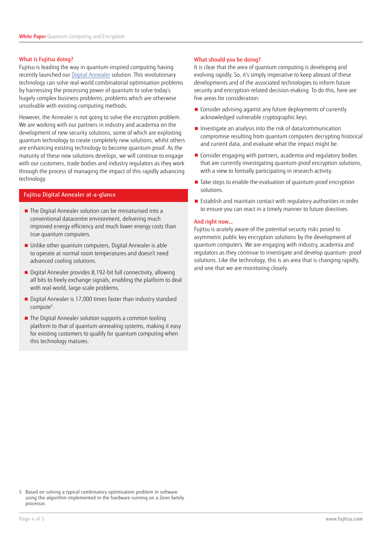## What is Fujitsu doing?

Fujitsu is leading the way in quantum-inspired computing having recently launched our Digital Annealer solution. This revolutionary technology can solve real-world combinatorial optimisation problems by harnessing the processing power of quantum to solve today's hugely complex business problems; problems which are otherwise unsolvable with existing computing methods.

However, the Annealer is not going to solve the encryption problem. We are working with our partners in industry and academia on the development of new security solutions, some of which are exploiting quantum technology to create completely new solutions, whilst others are enhancing existing technology to become quantum-proof. As the maturity of these new solutions develops, we will continue to engage with our customers, trade bodies and industry regulators as they work through the process of managing the impact of this rapidly advancing technology.

## Fujitsu Digital Annealer at-a-glance

- The Digital Annealer solution can be miniaturised into a conventional datacentre environment, delivering much improved energy efficiency and much lower energy costs than true quantum computers.
- Unlike other quantum computers, Digital Annealer is able to operate at normal room temperatures and doesn't need advanced cooling solutions.
- Digital Annealer provides 8,192-bit full connectivity, allowing all bits to freely exchange signals, enabling the platform to deal with real-world, large-scale problems.
- Digital Annealer is 17,000 times faster than industry standard compute<sup>5</sup>.
- The Digital Annealer solution supports a common tooling platform to that of quantum-annealing systems, making it easy for existing customers to qualify for quantum computing when this technology matures.

## What should you be doing?

It is clear that the area of quantum computing is developing and evolving rapidly. So, it's simply imperative to keep abreast of these developments and of the associated technologies to inform future security and encryption-related decision-making. To do this, here are five areas for consideration:

- Consider advising against any future deployments of currently acknowledged vulnerable cryptographic keys.
- Investigate an analysis into the risk of data/communication compromise resulting from quantum computers decrypting historical and current data, and evaluate what the impact might be.
- Consider engaging with partners, academia and regulatory bodies that are currently investigating quantum-proof encryption solutions, with a view to formally participating in research activity.
- Take steps to enable the evaluation of quantum-proof encryption solutions.
- Establish and maintain contact with regulatory authorities in order to ensure you can react in a timely manner to future directives.

## And right now…

Fujitsu is acutely aware of the potential security risks posed to asymmetric public key encryption solutions by the development of quantum computers. We are engaging with industry, academia and regulators as they continue to investigate and develop quantum- proof solutions. Like the technology, this is an area that is changing rapidly, and one that we are monitoring closely.

5 Based on solving a typical combinatory optimisation problem in software using the algorithm implemented in the hardware running on a Zeon family processor.